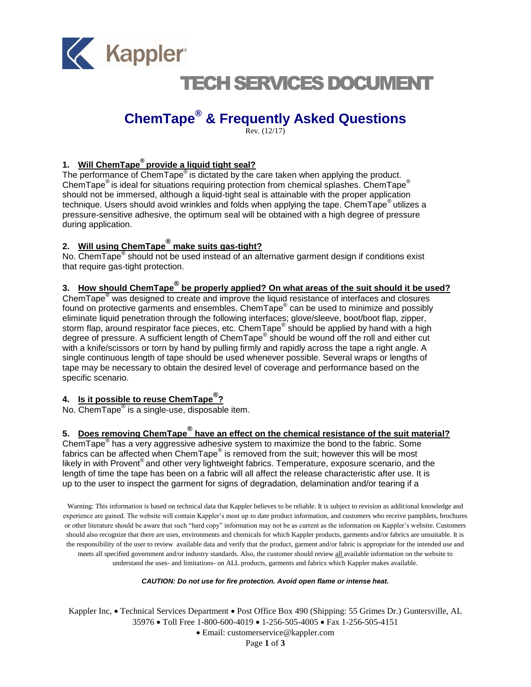

## TECH SERVICES DOCUMENT

## **ChemTape® & Frequently Asked Questions**

 $Rev. (12/17)$ 

#### **1. Will ChemTape® provide a liquid tight seal?**

The performance of Chem $\text{Tape}^{\circledast}$  is dictated by the care taken when applying the product. ChemTape $^{\circledR}$  is ideal for situations requiring protection from chemical splashes. ChemTape $^{\circledR}$ should not be immersed, although a liquid-tight seal is attainable with the proper application technique. Users should avoid wrinkles and folds when applying the tape. ChemTape<sup>®</sup> utilizes a pressure-sensitive adhesive, the optimum seal will be obtained with a high degree of pressure during application.

## **2. Will using ChemTape® make suits gas-tight?**

No. ChemTape<sup>®</sup> should not be used instead of an alternative garment design if conditions exist that require gas-tight protection.

### **3. How should ChemTape ® be properly applied? On what areas of the suit should it be used?**

ChemTape® was designed to create and improve the liquid resistance of interfaces and closures found on protective garments and ensembles. ChemTape® can be used to minimize and possibly eliminate liquid penetration through the following interfaces; glove/sleeve, boot/boot flap, zipper, storm flap, around respirator face pieces, etc. ChemTape® should be applied by hand with a high degree of pressure. A sufficient length of ChemTape® should be wound off the roll and either cut with a knife/scissors or torn by hand by pulling firmly and rapidly across the tape a right angle. A single continuous length of tape should be used whenever possible. Several wraps or lengths of tape may be necessary to obtain the desired level of coverage and performance based on the specific scenario.

#### **4. Is it possible to reuse ChemTape® ?**

No. ChemTape<sup>®</sup> is a single-use, disposable item.

#### **5. Does removing ChemTape® have an effect on the chemical resistance of the suit material?**

ChemTape<sup>®</sup> has a very aggressive adhesive system to maximize the bond to the fabric. Some fabrics can be affected when ChemTape® is removed from the suit; however this will be most likely in with Provent<sup>®</sup> and other very lightweight fabrics. Temperature, exposure scenario, and the length of time the tape has been on a fabric will all affect the release characteristic after use. It is up to the user to inspect the garment for signs of degradation, delamination and/or tearing if a

Warning: This information is based on technical data that Kappler believes to be reliable. It is subject to revision as additional knowledge and experience are gained. The website will contain Kappler's most up to date product information, and customers who receive pamphlets, brochures or other literature should be aware that such "hard copy" information may not be as current as the information on Kappler's website. Customers should also recognize that there are uses, environments and chemicals for which Kappler products, garments and/or fabrics are unsuitable. It is the responsibility of the user to review available data and verify that the product, garment and/or fabric is appropriate for the intended use and meets all specified government and/or industry standards. Also, the customer should review all available information on the website to understand the uses- and limitations- on ALL products, garments and fabrics which Kappler makes available.

#### *CAUTION: Do not use for fire protection. Avoid open flame or intense heat.*

Kappler Inc, • Technical Services Department • Post Office Box 490 (Shipping: 55 Grimes Dr.) Guntersville, AL 35976 Toll Free 1-800-600-4019 1-256-505-4005 Fax 1-256-505-4151

Email: customerservice@kappler.com

Page **1** of **3**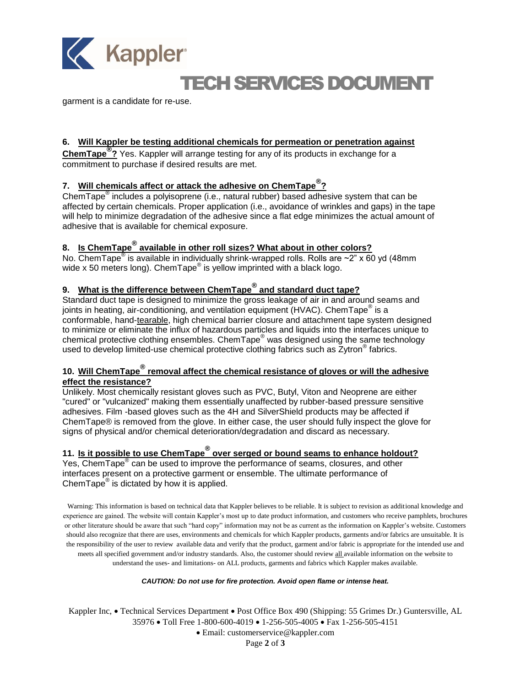

# TECH SERVICES DOCUMENT

garment is a candidate for re-use.

#### **6. Will Kappler be testing additional chemicals for permeation or penetration against**

**ChemTape® ?** Yes. Kappler will arrange testing for any of its products in exchange for a commitment to purchase if desired results are met.

### **7. Will chemicals affect or attack the adhesive on ChemTape® ?**

ChemTape<sup>®</sup> includes a polyisoprene (i.e., natural rubber) based adhesive system that can be affected by certain chemicals. Proper application (i.e., avoidance of wrinkles and gaps) in the tape will help to minimize degradation of the adhesive since a flat edge minimizes the actual amount of adhesive that is available for chemical exposure.

### **8. Is ChemTape® available in other roll sizes? What about in other colors?**

No.  $\overline{\text{ChemTape}}^{\textcircled{\tiny{\textregistered}}}$  is available in individually shrink-wrapped rolls. Rolls are ~2" x 60 yd (48mm wide x 50 meters long). ChemTape<sup>®</sup> is yellow imprinted with a black logo.

### **9. What is the difference between ChemTape® and standard duct tape?**

Standard duct tape is designed to minimize the gross leakage of air in and around seams and joints in heating, air-conditioning, and ventilation equipment (HVAC). ChemTape® is a conformable, hand-tearable, high chemical barrier closure and attachment tape system designed to minimize or eliminate the influx of hazardous particles and liquids into the interfaces unique to chemical protective clothing ensembles. ChemTape® was designed using the same technology used to develop limited-use chemical protective clothing fabrics such as Zytron® fabrics.

#### **10. Will ChemTape® removal affect the chemical resistance of gloves or will the adhesive effect the resistance?**

Unlikely. Most chemically resistant gloves such as PVC, Butyl, Viton and Neoprene are either "cured" or "vulcanized" making them essentially unaffected by rubber-based pressure sensitive adhesives. Film -based gloves such as the 4H and SilverShield products may be affected if ChemTape® is removed from the glove. In either case, the user should fully inspect the glove for signs of physical and/or chemical deterioration/degradation and discard as necessary.

### **11. Is it possible to use ChemTape® over serged or bound seams to enhance holdout?**

Yes, ChemTape<sup>®</sup> can be used to improve the performance of seams, closures, and other interfaces present on a protective garment or ensemble. The ultimate performance of ChemTape $^{\circledR}$  is dictated by how it is applied.

Warning: This information is based on technical data that Kappler believes to be reliable. It is subject to revision as additional knowledge and experience are gained. The website will contain Kappler's most up to date product information, and customers who receive pamphlets, brochures or other literature should be aware that such "hard copy" information may not be as current as the information on Kappler's website. Customers should also recognize that there are uses, environments and chemicals for which Kappler products, garments and/or fabrics are unsuitable. It is the responsibility of the user to review available data and verify that the product, garment and/or fabric is appropriate for the intended use and meets all specified government and/or industry standards. Also, the customer should review all available information on the website to understand the uses- and limitations- on ALL products, garments and fabrics which Kappler makes available.

#### *CAUTION: Do not use for fire protection. Avoid open flame or intense heat.*

Kappler Inc, • Technical Services Department • Post Office Box 490 (Shipping: 55 Grimes Dr.) Guntersville, AL 35976 Toll Free 1-800-600-4019 1-256-505-4005 Fax 1-256-505-4151

Email: customerservice@kappler.com

Page **2** of **3**